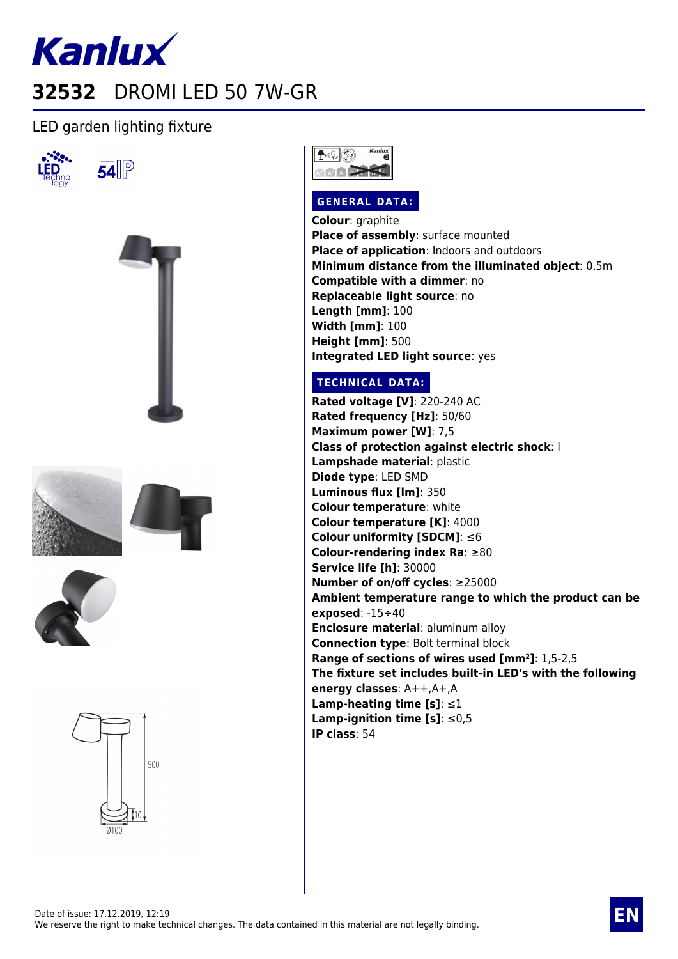

## LED garden lighting fixture

**54** 













## **GENERAL DATA:**

**Colour**: graphite **Place of assembly**: surface mounted **Place of application**: Indoors and outdoors **Minimum distance from the illuminated object**: 0,5m **Compatible with a dimmer**: no **Replaceable light source**: no **Length [mm]**: 100 **Width [mm]**: 100 **Height [mm]**: 500 **Integrated LED light source**: yes

## **TECHNICAL DATA:**

**Rated voltage [V]**: 220-240 AC **Rated frequency [Hz]**: 50/60 **Maximum power [W]**: 7,5 **Class of protection against electric shock**: I **Lampshade material**: plastic **Diode type**: LED SMD **Luminous flux [lm]**: 350 **Colour temperature**: white **Colour temperature [K]**: 4000 **Colour uniformity [SDCM]**: ≤6 **Colour-rendering index Ra**: ≥80 **Service life [h]**: 30000 **Number of on/off cycles**: ≥25000 **Ambient temperature range to which the product can be exposed**: -15÷40 **Enclosure material**: aluminum alloy **Connection type**: Bolt terminal block **Range of sections of wires used [mm²]**: 1,5-2,5 **The fixture set includes built-in LED's with the following energy classes**: A++,A+,A **Lamp-heating time [s]**: ≤1 **Lamp-ignition time [s]**: ≤0,5 **IP class**: 54